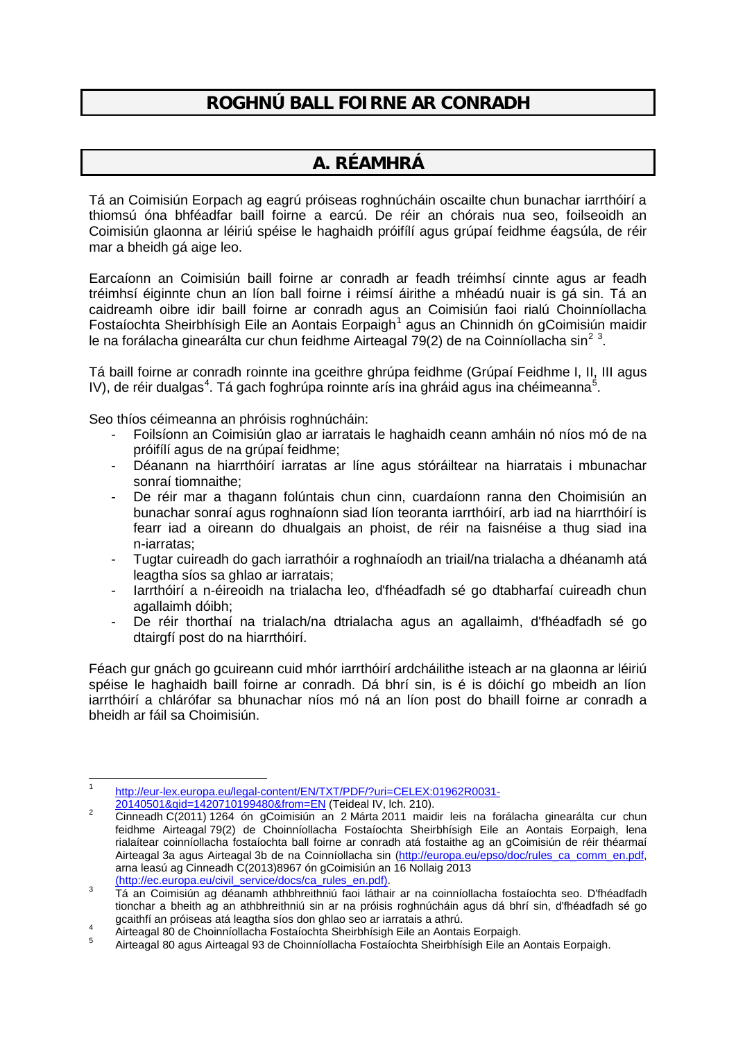## **ROGHNÚ BALL FOIRNE AR CONRADH**

### **A. RÉAMHRÁ**

Tá an Coimisiún Eorpach ag eagrú próiseas roghnúcháin oscailte chun bunachar iarrthóirí a thiomsú óna bhféadfar baill foirne a earcú. De réir an chórais nua seo, foilseoidh an Coimisiún glaonna ar léiriú spéise le haghaidh próifílí agus grúpaí feidhme éagsúla, de réir mar a bheidh gá aige leo.

Earcaíonn an Coimisiún baill foirne ar conradh ar feadh tréimhsí cinnte agus ar feadh tréimhsí éiginnte chun an líon ball foirne i réimsí áirithe a mhéadú nuair is gá sin. Tá an caidreamh oibre idir baill foirne ar conradh agus an Coimisiún faoi rialú Choinníollacha Fostaíochta Sheirbhísigh Eile an Aontais Eorpaigh<sup>[1](#page-0-0)</sup> agus an Chinnidh ón gCoimisiún maidir le na forálacha ginearálta cur chun feidhme Airteagal 79([2](#page-0-1)) de na Coinníollacha sin<sup>2[3](#page-0-2)</sup>.

Tá baill foirne ar conradh roinnte ina gceithre ghrúpa feidhme (Grúpaí Feidhme I, II, III agus IV), de réir dualgas<sup>[4](#page-0-3)</sup>. Tá gach foghrúpa roinnte arís ina ghráid agus ina chéimeanna<sup>[5](#page-0-4)</sup>.

Seo thíos céimeanna an phróisis roghnúcháin:

- Foilsíonn an Coimisiún glao ar iarratais le haghaidh ceann amháin nó níos mó de na próifílí agus de na grúpaí feidhme;
- Déanann na hiarrthóirí iarratas ar líne agus stóráiltear na hiarratais i mbunachar sonraí tiomnaithe;
- De réir mar a thagann folúntais chun cinn, cuardaíonn ranna den Choimisiún an bunachar sonraí agus roghnaíonn siad líon teoranta iarrthóirí, arb iad na hiarrthóirí is fearr iad a oireann do dhualgais an phoist, de réir na faisnéise a thug siad ina n-iarratas;
- Tugtar cuireadh do gach iarrathóir a roghnaíodh an triail/na trialacha a dhéanamh atá leagtha síos sa ghlao ar iarratais;
- Iarrthóirí a n-éireoidh na trialacha leo, d'fhéadfadh sé go dtabharfaí cuireadh chun agallaimh dóibh;
- De réir thorthaí na trialach/na dtrialacha agus an agallaimh, d'fhéadfadh sé go dtairgfí post do na hiarrthóirí.

Féach gur gnách go gcuireann cuid mhór iarrthóirí ardcháilithe isteach ar na glaonna ar léiriú spéise le haghaidh baill foirne ar conradh. Dá bhrí sin, is é is dóichí go mbeidh an líon iarrthóirí a chlárófar sa bhunachar níos mó ná an líon post do bhaill foirne ar conradh a bheidh ar fáil sa Choimisiún.

<span id="page-0-0"></span>[http://eur-lex.europa.eu/legal-content/EN/TXT/PDF/?uri=CELEX:01962R0031-](http://eur-lex.europa.eu/legal-content/EN/TXT/PDF/?uri=CELEX:01962R0031-20140501&qid=1420710199480&from=EN)<br>20140501&qid=1420710199480&from=EN (Teideal IV, Ich. 210).

<span id="page-0-1"></span><sup>2016</sup> From March 120140 From March 1995.<br><sup>2</sup> Cinneadh C(2011) 1264 ón gCoimisiún an 2 Márta 2011 maidir leis na forálacha ginearálta cur chun feidhme Airteagal 79(2) de Choinníollacha Fostaíochta Sheirbhísigh Eile an Aontais Eorpaigh, lena rialaítear coinníollacha fostaíochta ball foirne ar conradh atá fostaithe ag an gCoimisiún de réir théarmaí Airteagal 3a agus Airteagal 3b de na Coinníollacha sin [\(http://europa.eu/epso/doc/rules\\_ca\\_comm\\_en.pdf,](http://europa.eu/epso/doc/rules_ca_comm_en.pdf) arna leasú ag Cinneadh C(2013)8967 ón gCoimisiún an 16 Nollaig 2013<br>(http://ec.europa.eu/civil\_service/docs/ca\_rules\_en.pdf).

<span id="page-0-2"></span><sup>&</sup>lt;sup>3</sup> Tá an Coimisiún ag déanamh athbhreithniú faoi láthair ar na coinníollacha fostaíochta seo. D'fhéadfadh tionchar a bheith ag an athbhreithniú sin ar na próisis roghnúcháin agus dá bhrí sin, d'fhéadfadh sé go gcaithfí an próiseas atá leagtha síos don ghlao seo ar iarratais a athrú.

<span id="page-0-4"></span><span id="page-0-3"></span>guamman proiseas atá leagma síos don gmao seo ar lantatais a amu.<br>Airteagal 80 de Choinníollacha Fostaíochta Sheirbhísigh Eile an Aontais Eorpaigh.<br>Airteagal 80 agus Airteagal 93 de Choinníollacha Fostaíochta Sheirbhísigh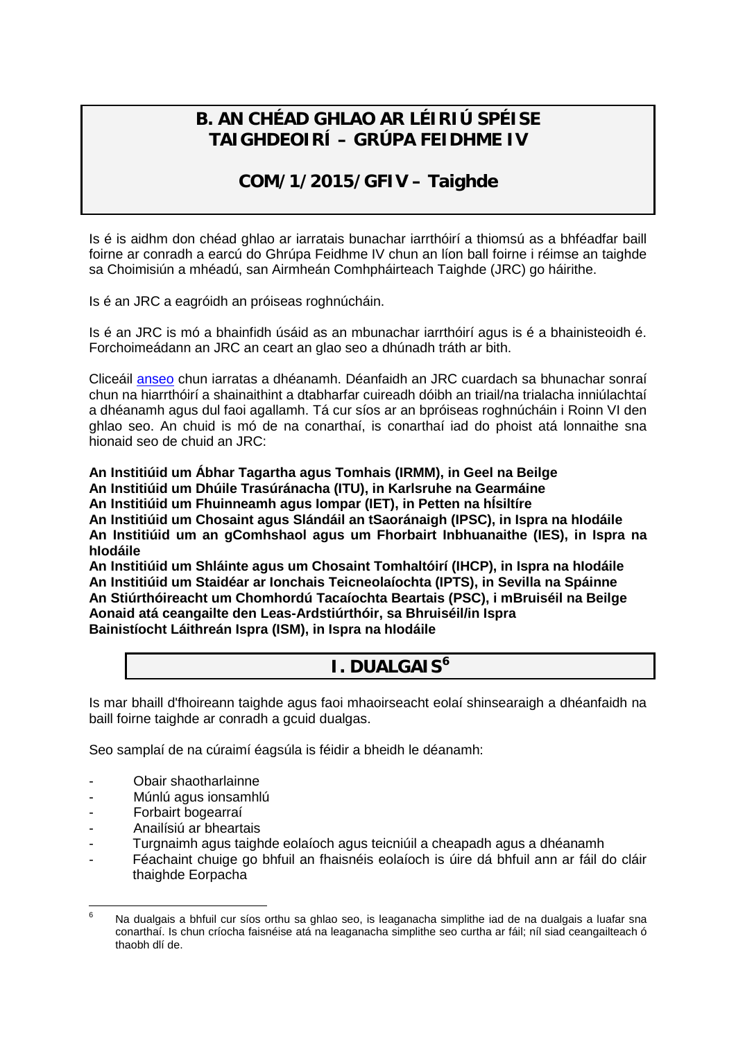## **B. AN CHÉAD GHLAO AR LÉIRIÚ SPÉISE TAIGHDEOIRÍ – GRÚPA FEIDHME IV**

## **COM/1/2015/GFIV – Taighde**

Is é is aidhm don chéad ghlao ar iarratais bunachar iarrthóirí a thiomsú as a bhféadfar baill foirne ar conradh a earcú do Ghrúpa Feidhme IV chun an líon ball foirne i réimse an taighde sa Choimisiún a mhéadú, san Airmheán Comhpháirteach Taighde (JRC) go háirithe.

Is é an JRC a eagróidh an próiseas roghnúcháin.

Is é an JRC is mó a bhainfidh úsáid as an mbunachar iarrthóirí agus is é a bhainisteoidh é. Forchoimeádann an JRC an ceart an glao seo a dhúnadh tráth ar bith.

Cliceáil [anseo](http://recruitment.jrc.ec.europa.eu/jrc-cast.php?lang=en) chun iarratas a dhéanamh. Déanfaidh an JRC cuardach sa bhunachar sonraí chun na hiarrthóirí a shainaithint a dtabharfar cuireadh dóibh an triail/na trialacha inniúlachtaí a dhéanamh agus dul faoi agallamh. Tá cur síos ar an bpróiseas roghnúcháin i Roinn VI den ghlao seo. An chuid is mó de na conarthaí, is conarthaí iad do phoist atá lonnaithe sna hionaid seo de chuid an JRC:

**An Institiúid um Ábhar Tagartha agus Tomhais (IRMM), in Geel na Beilge An Institiúid um Dhúile Trasúránacha (ITU), in Karlsruhe na Gearmáine An Institiúid um Fhuinneamh agus Iompar (IET), in Petten na hÍsiltíre An Institiúid um Chosaint agus Slándáil an tSaoránaigh (IPSC), in Ispra na hIodáile An Institiúid um an gComhshaol agus um Fhorbairt Inbhuanaithe (IES), in Ispra na hIodáile**

**An Institiúid um Shláinte agus um Chosaint Tomhaltóirí (IHCP), in Ispra na hIodáile An Institiúid um Staidéar ar Ionchais Teicneolaíochta (IPTS), in Sevilla na Spáinne An Stiúrthóireacht um Chomhordú Tacaíochta Beartais (PSC), i mBruiséil na Beilge Aonaid atá ceangailte den Leas-Ardstiúrthóir, sa Bhruiséil/in Ispra Bainistíocht Láithreán Ispra (ISM), in Ispra na hIodáile**

## **I. DUALGAIS[6](#page-1-0)**

Is mar bhaill d'fhoireann taighde agus faoi mhaoirseacht eolaí shinsearaigh a dhéanfaidh na baill foirne taighde ar conradh a gcuid dualgas.

Seo samplaí de na cúraimí éagsúla is féidir a bheidh le déanamh:

- Obair shaotharlainne
- Múnlú agus ionsamhlú
- Forbairt bogearraí
- Anailísiú ar bheartais
- Turgnaimh agus taighde eolaíoch agus teicniúil a cheapadh agus a dhéanamh
- Féachaint chuige go bhfuil an fhaisnéis eolaíoch is úire dá bhfuil ann ar fáil do cláir thaighde Eorpacha

<span id="page-1-0"></span> $6$  Na dualgais a bhfuil cur síos orthu sa ghlao seo, is leaganacha simplithe iad de na dualgais a luafar sna conarthaí. Is chun críocha faisnéise atá na leaganacha simplithe seo curtha ar fáil; níl siad ceangailteach ó thaobh dlí de.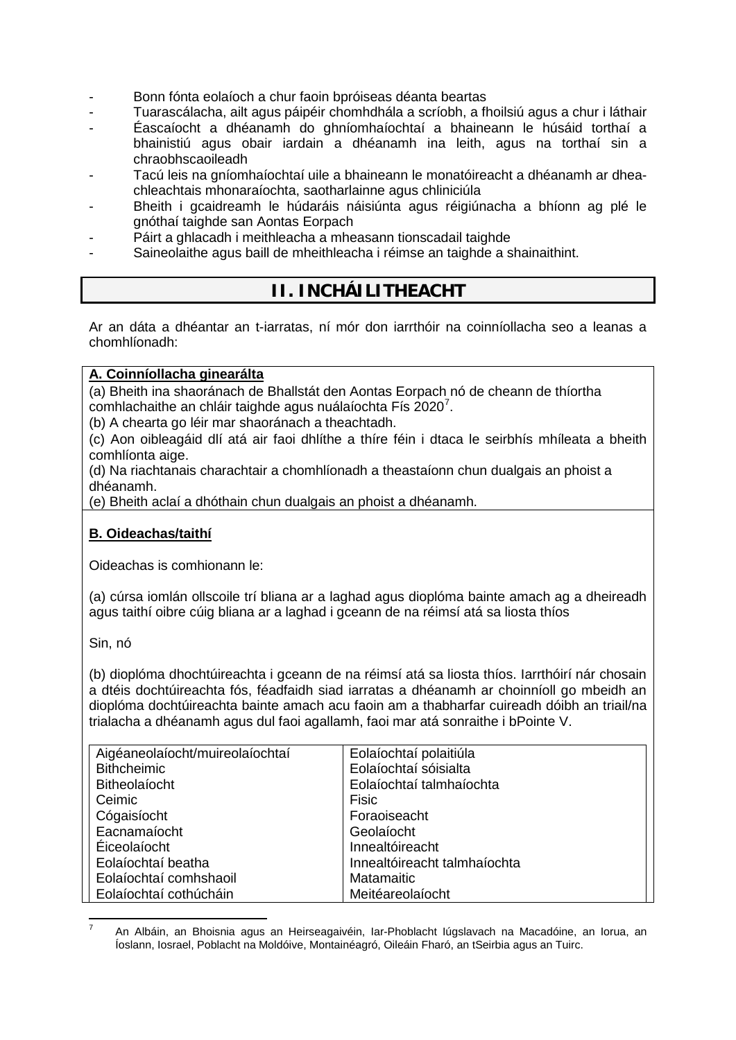- Bonn fónta eolaíoch a chur faoin bpróiseas déanta beartas
- Tuarascálacha, ailt agus páipéir chomhdhála a scríobh, a fhoilsiú agus a chur i láthair
- Éascaíocht a dhéanamh do ghníomhaíochtaí a bhaineann le húsáid torthaí a bhainistiú agus obair iardain a dhéanamh ina leith, agus na torthaí sin a chraobhscaoileadh
- Tacú leis na gníomhaíochtaí uile a bhaineann le monatóireacht a dhéanamh ar dheachleachtais mhonaraíochta, saotharlainne agus chliniciúla
- Bheith i gcaidreamh le húdaráis náisiúnta agus réigiúnacha a bhíonn ag plé le gnóthaí taighde san Aontas Eorpach
- Páirt a ghlacadh i meithleacha a mheasann tionscadail taighde
- Saineolaithe agus baill de mheithleacha i réimse an taighde a shainaithint.

## **II. INCHÁILITHEACHT**

Ar an dáta a dhéantar an t-iarratas, ní mór don iarrthóir na coinníollacha seo a leanas a chomhlíonadh:

#### **A. Coinníollacha ginearálta**

(a) Bheith ina shaoránach de Bhallstát den Aontas Eorpach nó de cheann de thíortha comhlachaithe an chláir taighde agus nuálaíochta Fís 2020<sup>[7](#page-2-0)</sup>.

(b) A chearta go léir mar shaoránach a theachtadh.

(c) Aon oibleagáid dlí atá air faoi dhlíthe a thíre féin i dtaca le seirbhís mhíleata a bheith comhlíonta aige.

(d) Na riachtanais charachtair a chomhlíonadh a theastaíonn chun dualgais an phoist a dhéanamh.

(e) Bheith aclaí a dhóthain chun dualgais an phoist a dhéanamh.

#### **B. Oideachas/taithí**

Oideachas is comhionann le:

(a) cúrsa iomlán ollscoile trí bliana ar a laghad agus dioplóma bainte amach ag a dheireadh agus taithí oibre cúig bliana ar a laghad i gceann de na réimsí atá sa liosta thíos

Sin, nó

(b) dioplóma dhochtúireachta i gceann de na réimsí atá sa liosta thíos. Iarrthóirí nár chosain a dtéis dochtúireachta fós, féadfaidh siad iarratas a dhéanamh ar choinníoll go mbeidh an dioplóma dochtúireachta bainte amach acu faoin am a thabharfar cuireadh dóibh an triail/na trialacha a dhéanamh agus dul faoi agallamh, faoi mar atá sonraithe i bPointe V.

| Aigéaneolaíocht/muireolaíochtaí | Eolaíochtaí polaitiúla       |
|---------------------------------|------------------------------|
| <b>Bithcheimic</b>              | Eolaíochtaí sóisialta        |
| Bitheolaíocht                   | Eolaíochtaí talmhaíochta     |
| Ceimic                          | Fisic                        |
| Cógaisíocht                     | Foraoiseacht                 |
| Eacnamaíocht                    | Geolaíocht                   |
| Eiceolaíocht                    | Innealtóireacht              |
| Eolaíochtaí beatha              | Innealtóireacht talmhaíochta |
| Eolaíochtaí comhshaoil          | Matamaitic                   |
| Eolaíochtaí cothúcháin          | Meitéareolaíocht             |

<span id="page-2-0"></span>An Albáin, an Bhoisnia agus an Heirseagaivéin, Iar-Phoblacht Iúgslavach na Macadóine, an Iorua, an Íoslann, Iosrael, Poblacht na Moldóive, Montainéagró, Oileáin Fharó, an tSeirbia agus an Tuirc.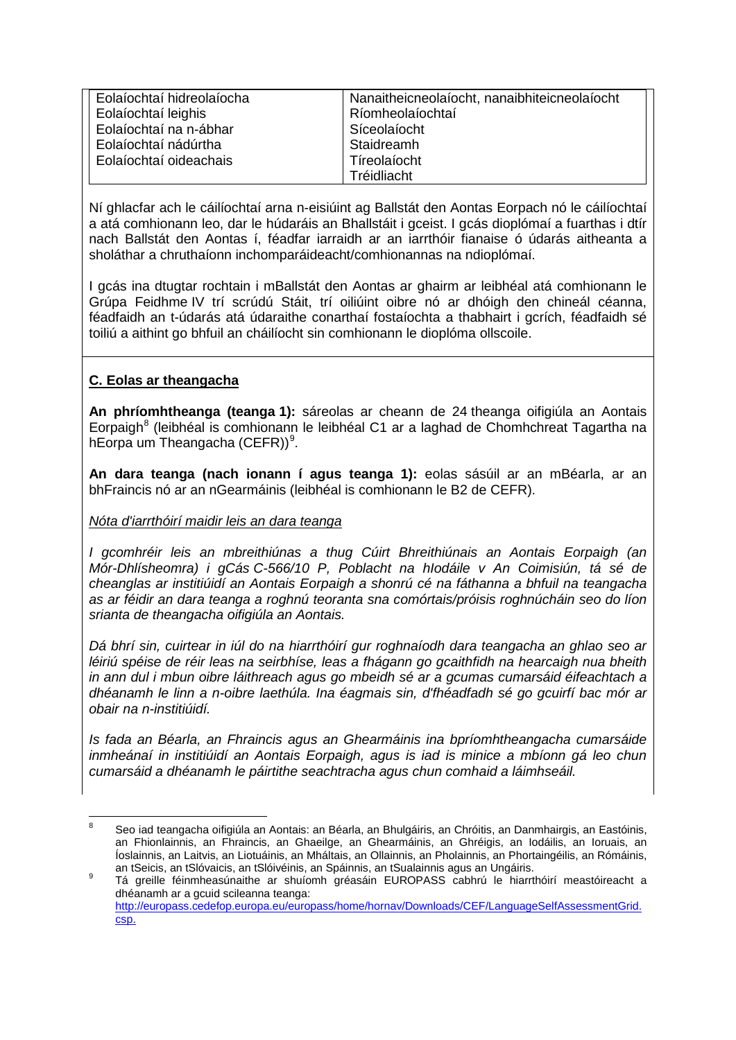| Eolaíochtaí hidreolaíocha | Nanaitheicneolaíocht, nanaibhiteicneolaíocht |
|---------------------------|----------------------------------------------|
| Eolaíochtaí leighis       | Ríomheolaíochtaí                             |
| Eolaíochtaí na n-ábhar    | Síceolaíocht                                 |
| Eolaíochtaí nádúrtha      | Staidreamh                                   |
| Eolaíochtaí oideachais    | Tíreolaíocht                                 |
|                           | Tréidliacht                                  |

Ní ghlacfar ach le cáilíochtaí arna n-eisiúint ag Ballstát den Aontas Eorpach nó le cáilíochtaí a atá comhionann leo, dar le húdaráis an Bhallstáit i gceist. I gcás dioplómaí a fuarthas i dtír nach Ballstát den Aontas í, féadfar iarraidh ar an iarrthóir fianaise ó údarás aitheanta a sholáthar a chruthaíonn inchomparáideacht/comhionannas na ndioplómaí.

I gcás ina dtugtar rochtain i mBallstát den Aontas ar ghairm ar leibhéal atá comhionann le Grúpa Feidhme IV trí scrúdú Stáit, trí oiliúint oibre nó ar dhóigh den chineál céanna, féadfaidh an t-údarás atá údaraithe conarthaí fostaíochta a thabhairt i gcrích, féadfaidh sé toiliú a aithint go bhfuil an cháilíocht sin comhionann le dioplóma ollscoile.

#### **C. Eolas ar theangacha**

**An phríomhtheanga (teanga 1):** sáreolas ar cheann de 24 theanga oifigiúla an Aontais Eorpaigh<sup>[8](#page-3-0)</sup> (leibhéal is comhionann le leibhéal C1 ar a laghad de Chomhchreat Tagartha na hEorpa um Theangacha (CEFR))<sup>[9](#page-3-1)</sup>.

**An dara teanga (nach ionann í agus teanga 1):** eolas sásúil ar an mBéarla, ar an bhFraincis nó ar an nGearmáinis (leibhéal is comhionann le B2 de CEFR).

#### *Nóta d'iarrthóirí maidir leis an dara teanga*

*I gcomhréir leis an mbreithiúnas a thug Cúirt Bhreithiúnais an Aontais Eorpaigh (an Mór-Dhlísheomra) i gCás C-566/10 P, Poblacht na hIodáile v An Coimisiún, tá sé de cheanglas ar institiúidí an Aontais Eorpaigh a shonrú cé na fáthanna a bhfuil na teangacha as ar féidir an dara teanga a roghnú teoranta sna comórtais/próisis roghnúcháin seo do líon srianta de theangacha oifigiúla an Aontais.*

*Dá bhrí sin, cuirtear in iúl do na hiarrthóirí gur roghnaíodh dara teangacha an ghlao seo ar léiriú spéise de réir leas na seirbhíse, leas a fhágann go gcaithfidh na hearcaigh nua bheith in ann dul i mbun oibre láithreach agus go mbeidh sé ar a gcumas cumarsáid éifeachtach a dhéanamh le linn a n-oibre laethúla. Ina éagmais sin, d'fhéadfadh sé go gcuirfí bac mór ar obair na n-institiúidí.*

*Is fada an Béarla, an Fhraincis agus an Ghearmáinis ina bpríomhtheangacha cumarsáide inmheánaí in institiúidí an Aontais Eorpaigh, agus is iad is minice a mbíonn gá leo chun cumarsáid a dhéanamh le páirtithe seachtracha agus chun comhaid a láimhseáil.* 

<span id="page-3-0"></span><sup>8</sup> Seo iad teangacha oifigiúla an Aontais: an Béarla, an Bhulgáiris, an Chróitis, an Danmhairgis, an Eastóinis, an Fhionlainnis, an Fhraincis, an Ghaeilge, an Ghearmáinis, an Ghréigis, an Iodáilis, an Ioruais, an Íoslainnis, an Laitvis, an Liotuáinis, an Mháltais, an Ollainnis, an Pholainnis, an Phortaingéilis, an Rómáinis,<br>an tSeicis, an tSlóvaicis, an tSlóivéinis, an Spáinnis, an tSualainnis agus an Ungáiris.

<span id="page-3-1"></span>an tSeisis, an tSlóvaisis; an tSlóveinis, an Spáinnis, an tSualainnis agus an Snáthra.<br>Tá greille féinmheasúnaithe ar shuíomh gréasáin EUROPASS cabhrú le hiarrthóirí meastóireacht a dhéanamh ar a gcuid scileanna teanga: [http://europass.cedefop.europa.eu/europass/home/hornav/Downloads/CEF/LanguageSelfAssessmentGrid.](http://europass.cedefop.europa.eu/europass/home/hornav/Downloads/CEF/LanguageSelfAssessmentGrid.csp) [csp.](http://europass.cedefop.europa.eu/europass/home/hornav/Downloads/CEF/LanguageSelfAssessmentGrid.csp)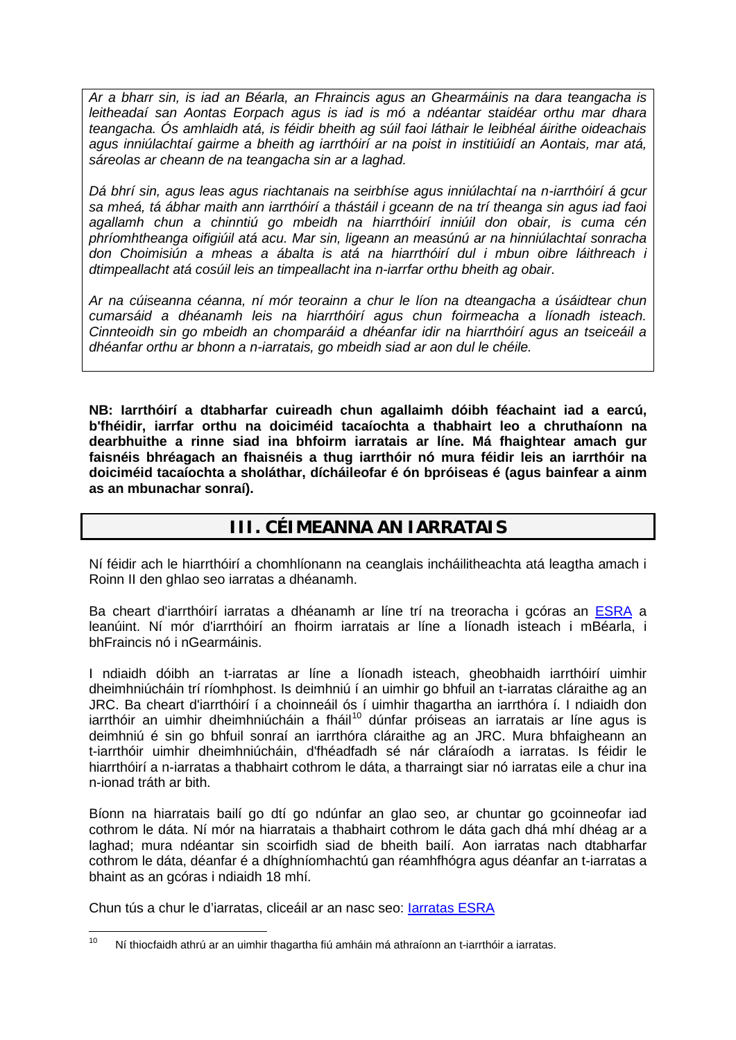*Ar a bharr sin, is iad an Béarla, an Fhraincis agus an Ghearmáinis na dara teangacha is leitheadaí san Aontas Eorpach agus is iad is mó a ndéantar staidéar orthu mar dhara teangacha. Ós amhlaidh atá, is féidir bheith ag súil faoi láthair le leibhéal áirithe oideachais agus inniúlachtaí gairme a bheith ag iarrthóirí ar na poist in institiúidí an Aontais, mar atá, sáreolas ar cheann de na teangacha sin ar a laghad.* 

*Dá bhrí sin, agus leas agus riachtanais na seirbhíse agus inniúlachtaí na n-iarrthóirí á gcur sa mheá, tá ábhar maith ann iarrthóirí a thástáil i gceann de na trí theanga sin agus iad faoi agallamh chun a chinntiú go mbeidh na hiarrthóirí inniúil don obair, is cuma cén phríomhtheanga oifigiúil atá acu. Mar sin, ligeann an measúnú ar na hinniúlachtaí sonracha don Choimisiún a mheas a ábalta is atá na hiarrthóirí dul i mbun oibre láithreach i dtimpeallacht atá cosúil leis an timpeallacht ina n-iarrfar orthu bheith ag obair.* 

*Ar na cúiseanna céanna, ní mór teorainn a chur le líon na dteangacha a úsáidtear chun cumarsáid a dhéanamh leis na hiarrthóirí agus chun foirmeacha a líonadh isteach. Cinnteoidh sin go mbeidh an chomparáid a dhéanfar idir na hiarrthóirí agus an tseiceáil a dhéanfar orthu ar bhonn a n-iarratais, go mbeidh siad ar aon dul le chéile.* 

**NB: Iarrthóirí a dtabharfar cuireadh chun agallaimh dóibh féachaint iad a earcú, b'fhéidir, iarrfar orthu na doiciméid tacaíochta a thabhairt leo a chruthaíonn na dearbhuithe a rinne siad ina bhfoirm iarratais ar líne. Má fhaightear amach gur faisnéis bhréagach an fhaisnéis a thug iarrthóir nó mura féidir leis an iarrthóir na doiciméid tacaíochta a sholáthar, dícháileofar é ón bpróiseas é (agus bainfear a ainm as an mbunachar sonraí).**

### **III. CÉIMEANNA AN IARRATAIS**

Ní féidir ach le hiarrthóirí a chomhlíonann na ceanglais incháilitheachta atá leagtha amach i Roinn II den ghlao seo iarratas a dhéanamh.

Ba cheart d'iarrthóirí iarratas a dhéanamh ar líne trí na treoracha i gcóras an [ESRA](http://recruitment.jrc.ec.europa.eu/jrc-cast.php?lang=en) a leanúint. Ní mór d'iarrthóirí an fhoirm iarratais ar líne a líonadh isteach i mBéarla, i bhFraincis nó i nGearmáinis.

I ndiaidh dóibh an t-iarratas ar líne a líonadh isteach, gheobhaidh iarrthóirí uimhir dheimhniúcháin trí ríomhphost. Is deimhniú í an uimhir go bhfuil an t-iarratas cláraithe ag an JRC. Ba cheart d'iarrthóirí í a choinneáil ós í uimhir thagartha an iarrthóra í. I ndiaidh don  $i$ arrthóir an uimhir dheimhniúcháin a fháil<sup>[10](#page-4-0)</sup> dúnfar próiseas an iarratais ar líne agus is deimhniú é sin go bhfuil sonraí an iarrthóra cláraithe ag an JRC. Mura bhfaigheann an t-iarrthóir uimhir dheimhniúcháin, d'fhéadfadh sé nár cláraíodh a iarratas. Is féidir le hiarrthóirí a n-iarratas a thabhairt cothrom le dáta, a tharraingt siar nó iarratas eile a chur ina n-ionad tráth ar bith.

Bíonn na hiarratais bailí go dtí go ndúnfar an glao seo, ar chuntar go gcoinneofar iad cothrom le dáta. Ní mór na hiarratais a thabhairt cothrom le dáta gach dhá mhí dhéag ar a laghad; mura ndéantar sin scoirfidh siad de bheith bailí. Aon iarratas nach dtabharfar cothrom le dáta, déanfar é a dhíghníomhachtú gan réamhfhógra agus déanfar an t-iarratas a bhaint as an gcóras i ndiaidh 18 mhí.

Chun tús a chur le d'iarratas, cliceáil ar an nasc seo: [Iarratas ESRA](http://recruitment.jrc.ec.europa.eu/jrc-cast.php?lang=en)

<span id="page-4-0"></span> $10$  Ní thiocfaidh athrú ar an uimhir thagartha fiú amháin má athraíonn an t-iarrthóir a iarratas.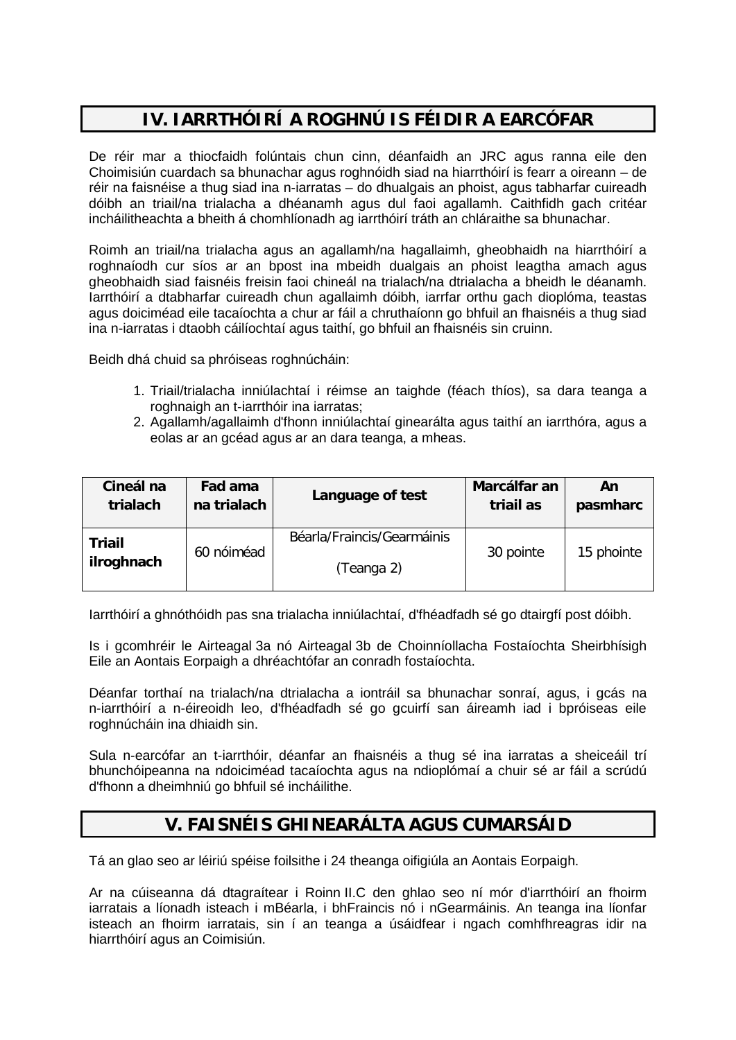# **IV. IARRTHÓIRÍ A ROGHNÚ IS FÉIDIR A EARCÓFAR**

De réir mar a thiocfaidh folúntais chun cinn, déanfaidh an JRC agus ranna eile den Choimisiún cuardach sa bhunachar agus roghnóidh siad na hiarrthóirí is fearr a oireann – de réir na faisnéise a thug siad ina n-iarratas – do dhualgais an phoist, agus tabharfar cuireadh dóibh an triail/na trialacha a dhéanamh agus dul faoi agallamh. Caithfidh gach critéar incháilitheachta a bheith á chomhlíonadh ag iarrthóirí tráth an chláraithe sa bhunachar.

Roimh an triail/na trialacha agus an agallamh/na hagallaimh, gheobhaidh na hiarrthóirí a roghnaíodh cur síos ar an bpost ina mbeidh dualgais an phoist leagtha amach agus gheobhaidh siad faisnéis freisin faoi chineál na trialach/na dtrialacha a bheidh le déanamh. Iarrthóirí a dtabharfar cuireadh chun agallaimh dóibh, iarrfar orthu gach dioplóma, teastas agus doiciméad eile tacaíochta a chur ar fáil a chruthaíonn go bhfuil an fhaisnéis a thug siad ina n-iarratas i dtaobh cáilíochtaí agus taithí, go bhfuil an fhaisnéis sin cruinn.

Beidh dhá chuid sa phróiseas roghnúcháin:

- 1. Triail/trialacha inniúlachtaí i réimse an taighde (féach thíos), sa dara teanga a roghnaigh an t-iarrthóir ina iarratas;
- 2. Agallamh/agallaimh d'fhonn inniúlachtaí ginearálta agus taithí an iarrthóra, agus a eolas ar an gcéad agus ar an dara teanga, a mheas.

| Cineál na                   | Fad ama     | Language of test                         | Marcálfar an | An         |
|-----------------------------|-------------|------------------------------------------|--------------|------------|
| trialach                    | na trialach |                                          | triail as    | pasmharc   |
| <b>Triail</b><br>ilroghnach | 60 nóiméad  | Béarla/Fraincis/Gearmáinis<br>(Teanga 2) | 30 pointe    | 15 phointe |

Iarrthóirí a ghnóthóidh pas sna trialacha inniúlachtaí, d'fhéadfadh sé go dtairgfí post dóibh.

Is i gcomhréir le Airteagal 3a nó Airteagal 3b de Choinníollacha Fostaíochta Sheirbhísigh Eile an Aontais Eorpaigh a dhréachtófar an conradh fostaíochta.

Déanfar torthaí na trialach/na dtrialacha a iontráil sa bhunachar sonraí, agus, i gcás na n-iarrthóirí a n-éireoidh leo, d'fhéadfadh sé go gcuirfí san áireamh iad i bpróiseas eile roghnúcháin ina dhiaidh sin.

Sula n-earcófar an t-iarrthóir, déanfar an fhaisnéis a thug sé ina iarratas a sheiceáil trí bhunchóipeanna na ndoiciméad tacaíochta agus na ndioplómaí a chuir sé ar fáil a scrúdú d'fhonn a dheimhniú go bhfuil sé incháilithe.

### **V. FAISNÉIS GHINEARÁLTA AGUS CUMARSÁID**

Tá an glao seo ar léiriú spéise foilsithe i 24 theanga oifigiúla an Aontais Eorpaigh.

Ar na cúiseanna dá dtagraítear i Roinn II.C den ghlao seo ní mór d'iarrthóirí an fhoirm iarratais a líonadh isteach i mBéarla, i bhFraincis nó i nGearmáinis. An teanga ina líonfar isteach an fhoirm iarratais, sin í an teanga a úsáidfear i ngach comhfhreagras idir na hiarrthóirí agus an Coimisiún.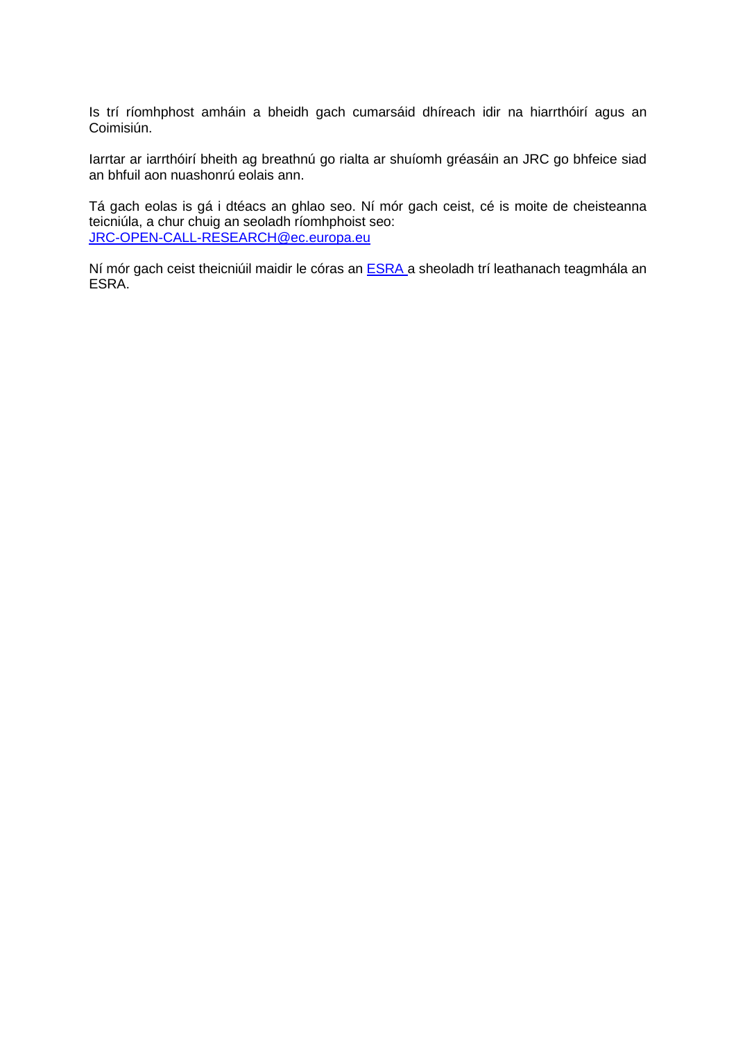Is trí ríomhphost amháin a bheidh gach cumarsáid dhíreach idir na hiarrthóirí agus an Coimisiún.

Iarrtar ar iarrthóirí bheith ag breathnú go rialta ar shuíomh gréasáin an JRC go bhfeice siad an bhfuil aon nuashonrú eolais ann.

Tá gach eolas is gá i dtéacs an ghlao seo. Ní mór gach ceist, cé is moite de cheisteanna teicniúla, a chur chuig an seoladh ríomhphoist seo: [JRC-OPEN-CALL-RESEARCH@ec.europa.eu](mailto:JRC-OPEN-CALL-RESEARCH@ec.europa.eu)

Ní mór gach ceist theicniúil maidir le córas an [ESRA a](http://recruitment.jrc.ec.europa.eu/jrc-cast.php?lang=en) sheoladh trí leathanach teagmhála an ESRA.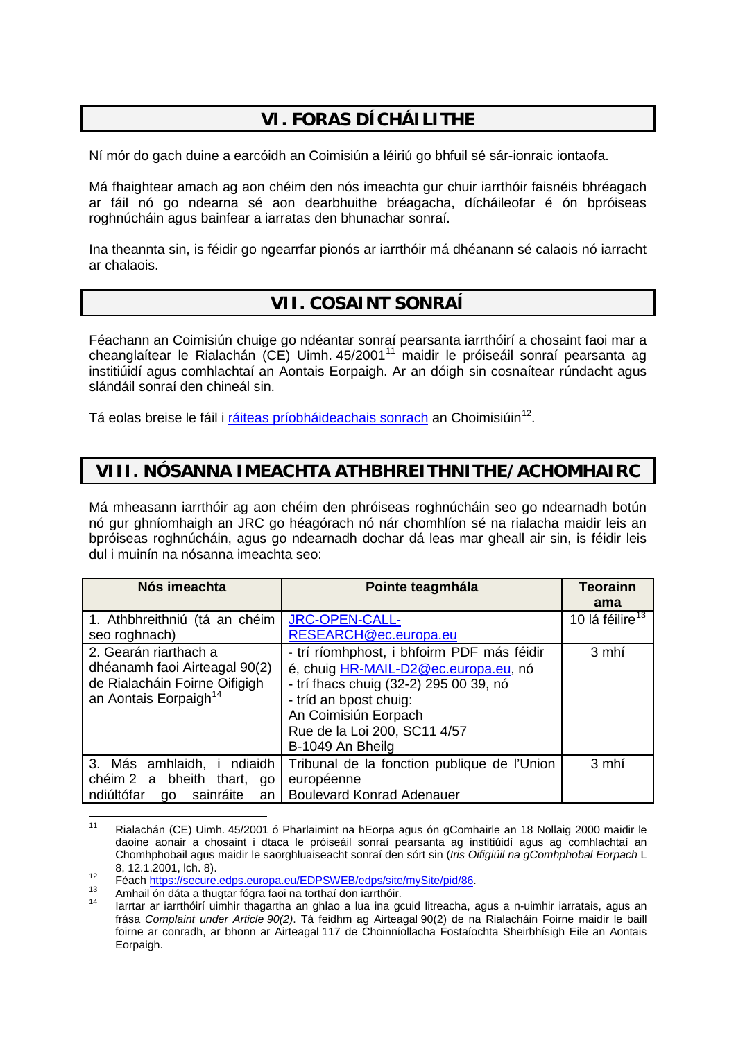# **VI. FORAS DÍCHÁILITHE**

Ní mór do gach duine a earcóidh an Coimisiún a léiriú go bhfuil sé sár-ionraic iontaofa.

Má fhaightear amach ag aon chéim den nós imeachta gur chuir iarrthóir faisnéis bhréagach ar fáil nó go ndearna sé aon dearbhuithe bréagacha, dícháileofar é ón bpróiseas roghnúcháin agus bainfear a iarratas den bhunachar sonraí.

Ina theannta sin, is féidir go ngearrfar pionós ar iarrthóir má dhéanann sé calaois nó iarracht ar chalaois.

### **VII. COSAINT SONRAÍ**

Féachann an Coimisiún chuige go ndéantar sonraí pearsanta iarrthóirí a chosaint faoi mar a cheanglaítear le Rialachán (CE) Uimh. 45/2001<sup>[11](#page-7-0)</sup> maidir le próiseáil sonraí pearsanta ag institiúidí agus comhlachtaí an Aontais Eorpaigh. Ar an dóigh sin cosnaítear rúndacht agus slándáil sonraí den chineál sin.

Tá eolas breise le fáil i [ráiteas príobháideachais sonrach](http://ec.europa.eu/civil_service/job/cvonline/privacy_en.htm) an Choimisiúin<sup>12</sup>.

### **VIII. NÓSANNA IMEACHTA ATHBHREITHNITHE/ACHOMHAIRC**

Má mheasann iarrthóir ag aon chéim den phróiseas roghnúcháin seo go ndearnadh botún nó gur ghníomhaigh an JRC go héagórach nó nár chomhlíon sé na rialacha maidir leis an bpróiseas roghnúcháin, agus go ndearnadh dochar dá leas mar gheall air sin, is féidir leis dul i muinín na nósanna imeachta seo:

| Nós imeachta                                                                                                                 | Pointe teagmhála                                                                                                                                                                                                                   | <b>Teorainn</b><br>ama      |
|------------------------------------------------------------------------------------------------------------------------------|------------------------------------------------------------------------------------------------------------------------------------------------------------------------------------------------------------------------------------|-----------------------------|
| 1. Athbhreithniú (tá an chéim<br>seo roghnach)                                                                               | <b>JRC-OPEN-CALL-</b><br>RESEARCH@ec.europa.eu                                                                                                                                                                                     | 10 lá féilire <sup>13</sup> |
| 2. Gearán riarthach a<br>dhéanamh faoi Airteagal 90(2)<br>de Rialacháin Foirne Oifigigh<br>an Aontais Eorpaigh <sup>14</sup> | - trí ríomhphost, i bhfoirm PDF más féidir<br>é, chuig HR-MAIL-D2@ec.europa.eu, nó<br>- trí fhacs chuig (32-2) 295 00 39, nó<br>- tríd an bpost chuig:<br>An Coimisiún Eorpach<br>Rue de la Loi 200, SC11 4/57<br>B-1049 An Bheilg | 3 mhí                       |
| 3. Más amhlaidh, i ndiaidh<br>chéim 2 a bheith thart,<br>go<br>ndiúltófar<br>sainráite<br>go<br>an                           | Tribunal de la fonction publique de l'Union<br>européenne<br><b>Boulevard Konrad Adenauer</b>                                                                                                                                      | 3 mhí                       |

<span id="page-7-0"></span><sup>11</sup> Rialachán (CE) Uimh. 45/2001 ó Pharlaimint na hEorpa agus ón gComhairle an 18 Nollaig 2000 maidir le daoine aonair a chosaint i dtaca le próiseáil sonraí pearsanta ag institiúidí agus ag comhlachtaí an Chomhphobail agus maidir le saorghluaiseacht sonraí den sórt sin (*Iris Oifigiúil na gComhphobal Eorpach* L

<span id="page-7-3"></span><span id="page-7-2"></span>

<span id="page-7-1"></span><sup>12</sup> c. 12.12.2001, loi. 0).<br>
Féach [https://secure.edps.europa.eu/EDPSWEB/edps/site/mySite/pid/86.](https://secure.edps.europa.eu/EDPSWEB/edps/site/mySite/pid/86)<br>
Amhail ón dáta a thugtar fógra faoi na torthaí don iarrthóir.<br>
<sup>14</sup> larrtar ar iarrthóirí uimhir thagartha an ghlao a lua in frása *Complaint under Article 90(2)*. Tá feidhm ag Airteagal 90(2) de na Rialacháin Foirne maidir le baill foirne ar conradh, ar bhonn ar Airteagal 117 de Choinníollacha Fostaíochta Sheirbhísigh Eile an Aontais Eorpaigh.